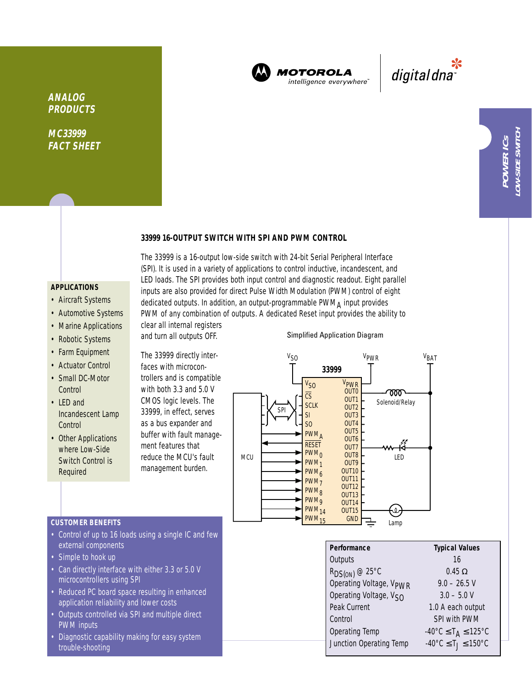

**MOTOROLA** intelligence everywhere<sup>®</sup>

\*<br>"digital dna

**ANALOG PRODUCTS**

**MC33999 FACT SHEET**

## **33999 16-OUTPUT SWITCH WITH SPI AND PWM CONTROL**

The 33999 is a 16-output low-side switch with 24-bit Serial Peripheral Interface (SPI). It is used in a variety of applications to control inductive, incandescent, and LED loads. The SPI provides both input control and diagnostic readout. Eight parallel inputs are also provided for direct Pulse Width Modulation (PWM) control of eight dedicated outputs. In addition, an output-programmable PWMA input provides PWM of any combination of outputs. A dedicated Reset input provides the ability to

# **APPLICATIONS**

- Aircraft Systems
- Automotive Systems
- Marine Applications
- Robotic Systems
- Farm Equipment
- Actuator Control
- Small DC-Motor **Control**
- LED and Incandescent Lamp **Control**
- Other Applications where Low-Side Switch Control is Required

clear all internal registers and turn all outputs OFF.

The 33999 directly interfaces with microcontrollers and is compatible with both 3.3 and 5.0 V CMOS logic levels. The 33999, in effect, serves as a bus expander and buffer with fault management features that reduce the MCU's fault management burden.

#### Simplified Application Diagram



### **CUSTOMER BENEFITS**

- Control of up to 16 loads using a single IC and few external components
- Simple to hook up
- Can directly interface with either 3.3 or 5.0 V microcontrollers using SPI
- Reduced PC board space resulting in enhanced application reliability and lower costs
- Outputs controlled via SPI and multiple direct PWM inputs
- Diagnostic capability making for easy system trouble-shooting

| Performance                         | <b>Typical Values</b>                              |  |  |
|-------------------------------------|----------------------------------------------------|--|--|
| Outputs                             | 16                                                 |  |  |
| $R_{DS(ON)}$ @ 25°C                 | $0.45 \Omega$                                      |  |  |
| Operating Voltage, V <sub>PWR</sub> | $9.0 - 26.5$ V                                     |  |  |
| Operating Voltage, V <sub>SO</sub>  | $3.0 - 5.0 V$                                      |  |  |
| Peak Current                        | 1.0 A each output                                  |  |  |
| Control                             | SPI with PWM                                       |  |  |
| <b>Operating Temp</b>               | $-40^{\circ}$ C $\leq$ T <sub>A</sub> $\leq$ 125°C |  |  |
| Junction Operating Temp             | $-40^{\circ}$ C $\leq T_1 \leq 150^{\circ}$ C      |  |  |